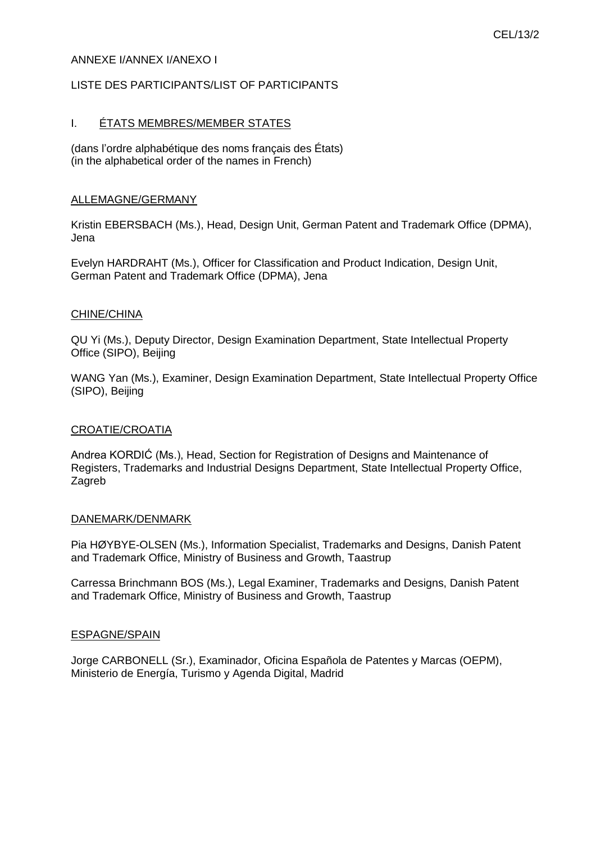## ANNEXE I/ANNEX I/ANEXO I

## LISTE DES PARTICIPANTS/LIST OF PARTICIPANTS

## I. ÉTATS MEMBRES/MEMBER STATES

(dans l'ordre alphabétique des noms français des États) (in the alphabetical order of the names in French)

### ALLEMAGNE/GERMANY

Kristin EBERSBACH (Ms.), Head, Design Unit, German Patent and Trademark Office (DPMA), Jena

Evelyn HARDRAHT (Ms.), Officer for Classification and Product Indication, Design Unit, German Patent and Trademark Office (DPMA), Jena

### CHINE/CHINA

QU Yi (Ms.), Deputy Director, Design Examination Department, State Intellectual Property Office (SIPO), Beijing

WANG Yan (Ms.), Examiner, Design Examination Department, State Intellectual Property Office (SIPO), Beijing

## CROATIE/CROATIA

Andrea KORDIĆ (Ms.), Head, Section for Registration of Designs and Maintenance of Registers, Trademarks and Industrial Designs Department, State Intellectual Property Office, Zagreb

#### DANEMARK/DENMARK

Pia HØYBYE-OLSEN (Ms.), Information Specialist, Trademarks and Designs, Danish Patent and Trademark Office, Ministry of Business and Growth, Taastrup

Carressa Brinchmann BOS (Ms.), Legal Examiner, Trademarks and Designs, Danish Patent and Trademark Office, Ministry of Business and Growth, Taastrup

#### ESPAGNE/SPAIN

Jorge CARBONELL (Sr.), Examinador, Oficina Española de Patentes y Marcas (OEPM), Ministerio de Energía, Turismo y Agenda Digital, Madrid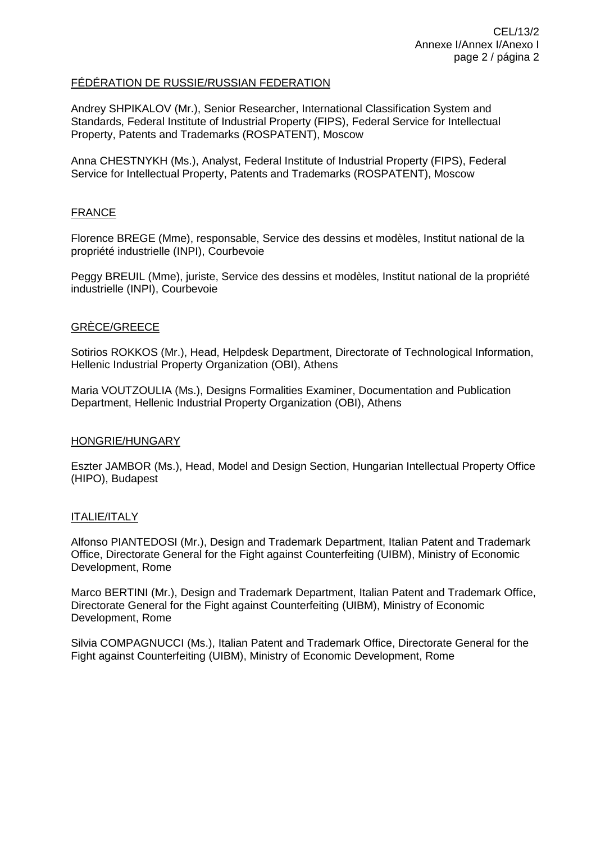## FÉDÉRATION DE RUSSIE/RUSSIAN FEDERATION

Andrey SHPIKALOV (Mr.), Senior Researcher, International Classification System and Standards, Federal Institute of Industrial Property (FIPS), Federal Service for Intellectual Property, Patents and Trademarks (ROSPATENT), Moscow

Anna CHESTNYKH (Ms.), Analyst, Federal Institute of Industrial Property (FIPS), Federal Service for Intellectual Property, Patents and Trademarks (ROSPATENT), Moscow

## **FRANCE**

Florence BREGE (Mme), responsable, Service des dessins et modèles, Institut national de la propriété industrielle (INPI), Courbevoie

Peggy BREUIL (Mme), juriste, Service des dessins et modèles, Institut national de la propriété industrielle (INPI), Courbevoie

### GRÈCE/GREECE

Sotirios ROKKOS (Mr.), Head, Helpdesk Department, Directorate of Technological Information, Hellenic Industrial Property Organization (OBI), Athens

Maria VOUTZOULIA (Ms.), Designs Formalities Examiner, Documentation and Publication Department, Hellenic Industrial Property Organization (OBI), Athens

#### HONGRIE/HUNGARY

Eszter JAMBOR (Ms.), Head, Model and Design Section, Hungarian Intellectual Property Office (HIPO), Budapest

## ITALIE/ITALY

Alfonso PIANTEDOSI (Mr.), Design and Trademark Department, Italian Patent and Trademark Office, Directorate General for the Fight against Counterfeiting (UIBM), Ministry of Economic Development, Rome

Marco BERTINI (Mr.), Design and Trademark Department, Italian Patent and Trademark Office, Directorate General for the Fight against Counterfeiting (UIBM), Ministry of Economic Development, Rome

Silvia COMPAGNUCCI (Ms.), Italian Patent and Trademark Office, Directorate General for the Fight against Counterfeiting (UIBM), Ministry of Economic Development, Rome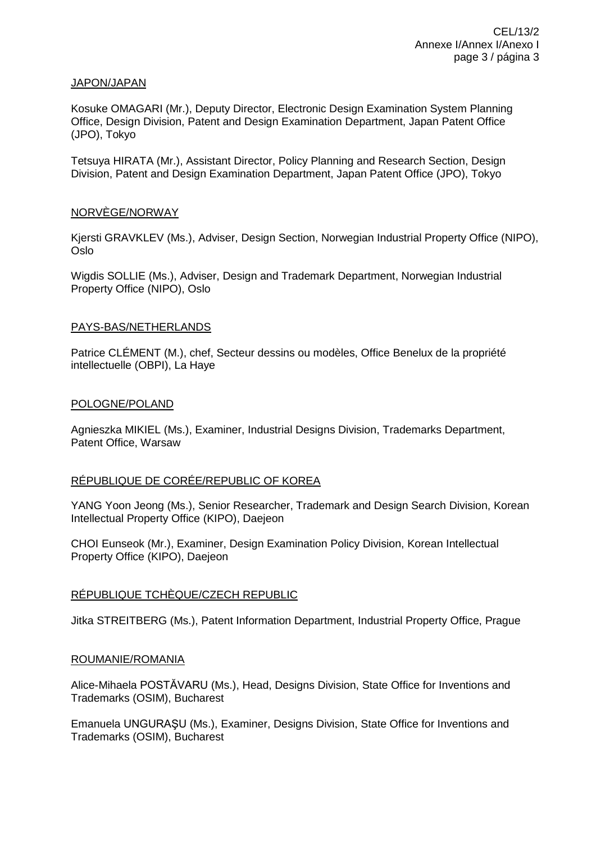### JAPON/JAPAN

Kosuke OMAGARI (Mr.), Deputy Director, Electronic Design Examination System Planning Office, Design Division, Patent and Design Examination Department, Japan Patent Office (JPO), Tokyo

Tetsuya HIRATA (Mr.), Assistant Director, Policy Planning and Research Section, Design Division, Patent and Design Examination Department, Japan Patent Office (JPO), Tokyo

## NORVÈGE/NORWAY

Kjersti GRAVKLEV (Ms.), Adviser, Design Section, Norwegian Industrial Property Office (NIPO), Oslo

Wigdis SOLLIE (Ms.), Adviser, Design and Trademark Department, Norwegian Industrial Property Office (NIPO), Oslo

### PAYS-BAS/NETHERLANDS

Patrice CLÉMENT (M.), chef, Secteur dessins ou modèles, Office Benelux de la propriété intellectuelle (OBPI), La Haye

### POLOGNE/POLAND

Agnieszka MIKIEL (Ms.), Examiner, Industrial Designs Division, Trademarks Department, Patent Office, Warsaw

# RÉPUBLIQUE DE CORÉE/REPUBLIC OF KOREA

YANG Yoon Jeong (Ms.), Senior Researcher, Trademark and Design Search Division, Korean Intellectual Property Office (KIPO), Daejeon

CHOI Eunseok (Mr.), Examiner, Design Examination Policy Division, Korean Intellectual Property Office (KIPO), Daejeon

## RÉPUBLIQUE TCHÈQUE/CZECH REPUBLIC

Jitka STREITBERG (Ms.), Patent Information Department, Industrial Property Office, Prague

#### ROUMANIE/ROMANIA

Alice-Mihaela POSTĂVARU (Ms.), Head, Designs Division, State Office for Inventions and Trademarks (OSIM), Bucharest

Emanuela UNGURAŞU (Ms.), Examiner, Designs Division, State Office for Inventions and Trademarks (OSIM), Bucharest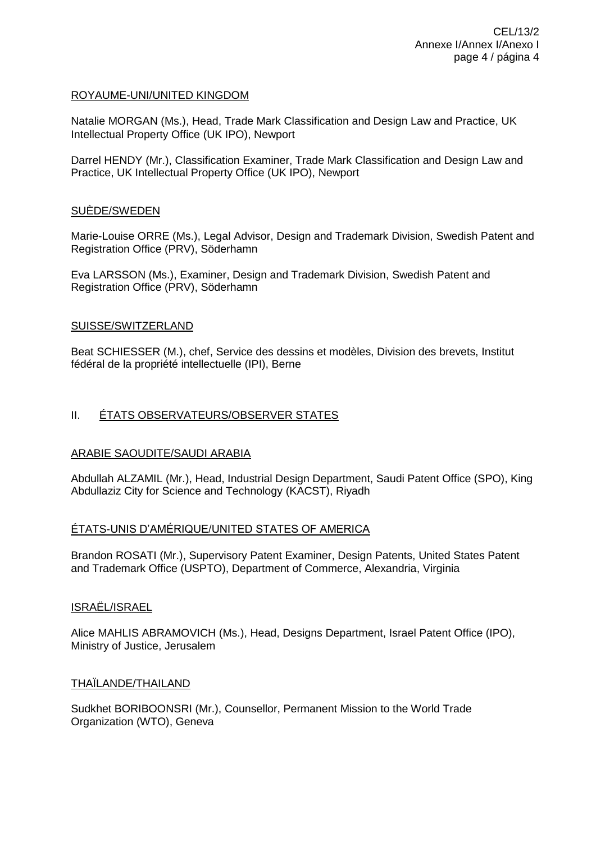## ROYAUME-UNI/UNITED KINGDOM

Natalie MORGAN (Ms.), Head, Trade Mark Classification and Design Law and Practice, UK Intellectual Property Office (UK IPO), Newport

Darrel HENDY (Mr.), Classification Examiner, Trade Mark Classification and Design Law and Practice, UK Intellectual Property Office (UK IPO), Newport

## SUÈDE/SWEDEN

Marie-Louise ORRE (Ms.), Legal Advisor, Design and Trademark Division, Swedish Patent and Registration Office (PRV), Söderhamn

Eva LARSSON (Ms.), Examiner, Design and Trademark Division, Swedish Patent and Registration Office (PRV), Söderhamn

### SUISSE/SWITZERLAND

Beat SCHIESSER (M.), chef, Service des dessins et modèles, Division des brevets, Institut fédéral de la propriété intellectuelle (IPI), Berne

## II. ÉTATS OBSERVATEURS/OBSERVER STATES

## ARABIE SAOUDITE/SAUDI ARABIA

Abdullah ALZAMIL (Mr.), Head, Industrial Design Department, Saudi Patent Office (SPO), King Abdullaziz City for Science and Technology (KACST), Riyadh

## ÉTATS-UNIS D'AMÉRIQUE/UNITED STATES OF AMERICA

Brandon ROSATI (Mr.), Supervisory Patent Examiner, Design Patents, United States Patent and Trademark Office (USPTO), Department of Commerce, Alexandria, Virginia

#### ISRAËL/ISRAEL

Alice MAHLIS ABRAMOVICH (Ms.), Head, Designs Department, Israel Patent Office (IPO), Ministry of Justice, Jerusalem

## THAÏLANDE/THAILAND

Sudkhet BORIBOONSRI (Mr.), Counsellor, Permanent Mission to the World Trade Organization (WTO), Geneva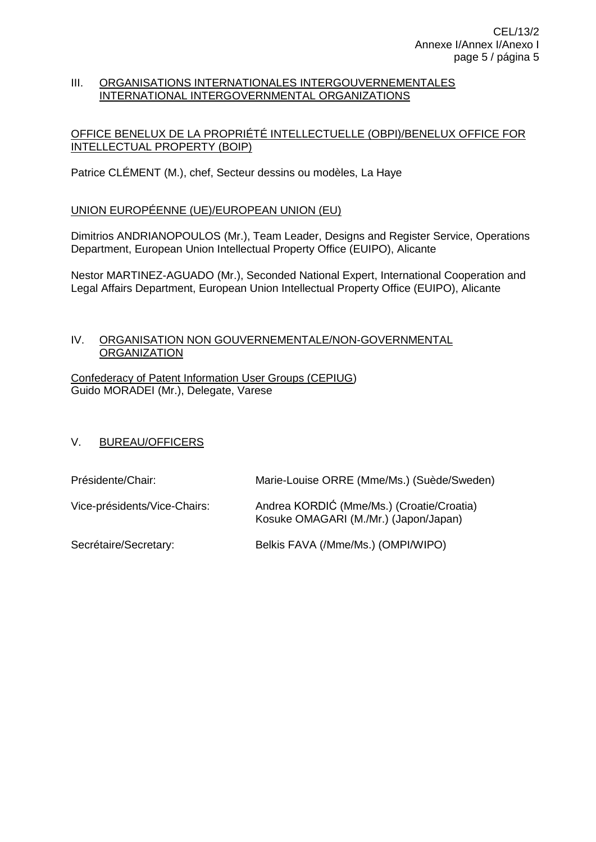## III. ORGANISATIONS INTERNATIONALES INTERGOUVERNEMENTALES INTERNATIONAL INTERGOVERNMENTAL ORGANIZATIONS

# OFFICE BENELUX DE LA PROPRIÉTÉ INTELLECTUELLE (OBPI)/BENELUX OFFICE FOR INTELLECTUAL PROPERTY (BOIP)

Patrice CLÉMENT (M.), chef, Secteur dessins ou modèles, La Haye

# UNION EUROPÉENNE (UE)/EUROPEAN UNION (EU)

Dimitrios ANDRIANOPOULOS (Mr.), Team Leader, Designs and Register Service, Operations Department, European Union Intellectual Property Office (EUIPO), Alicante

Nestor MARTINEZ-AGUADO (Mr.), Seconded National Expert, International Cooperation and Legal Affairs Department, European Union Intellectual Property Office (EUIPO), Alicante

## IV. ORGANISATION NON GOUVERNEMENTALE/NON-GOVERNMENTAL **ORGANIZATION**

Confederacy of Patent Information User Groups (CEPIUG) Guido MORADEI (Mr.), Delegate, Varese

# V. BUREAU/OFFICERS

| Présidente/Chair:            | Marie-Louise ORRE (Mme/Ms.) (Suède/Sweden)                                         |
|------------------------------|------------------------------------------------------------------------------------|
| Vice-présidents/Vice-Chairs: | Andrea KORDIĆ (Mme/Ms.) (Croatie/Croatia)<br>Kosuke OMAGARI (M./Mr.) (Japon/Japan) |
| Secrétaire/Secretary:        | Belkis FAVA (/Mme/Ms.) (OMPI/WIPO)                                                 |